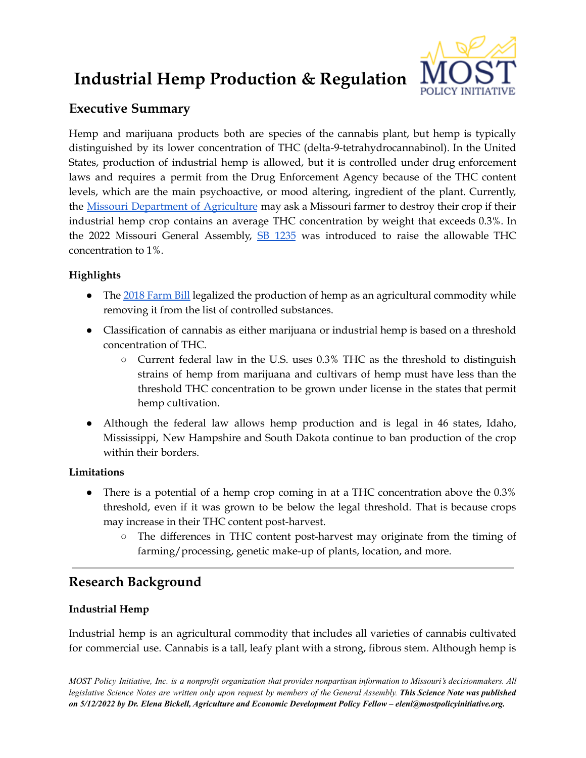# **Industrial Hemp Production & Regulation**



# **Executive Summary**

Hemp and marijuana products both are species of the cannabis plant, but hemp is typically distinguished by its lower concentration of THC (delta-9-tetrahydrocannabinol). In the United States, production of industrial hemp is allowed, but it is controlled under drug enforcement laws and requires a permit from the Drug Enforcement Agency because of the THC content levels, which are the main psychoactive, or mood altering, ingredient of the plant. Currently, the Missouri [Department](https://agriculture.mo.gov/plants/industrial-hemp/) of Agriculture may ask a Missouri farmer to destroy their crop if their industrial hemp crop contains an average THC concentration by weight that exceeds 0.3%. In the 2022 Missouri General Assembly, SB [1235](https://www.senate.mo.gov/22info/BTS_Web/Bill.aspx?SessionType=R&BillID=77303927) was introduced to raise the allowable THC concentration to 1%.

# **Highlights**

- The 2018 [Farm](https://www.federalregister.gov/documents/2021/01/19/2021-00967/establishment-of-a-domestic-hemp-production-program) Bill legalized the production of hemp as an agricultural commodity while removing it from the list of controlled substances.
- Classification of cannabis as either marijuana or industrial hemp is based on a threshold concentration of THC.
	- Current federal law in the U.S. uses 0.3% THC as the threshold to distinguish strains of hemp from marijuana and cultivars of hemp must have less than the threshold THC concentration to be grown under license in the states that permit hemp cultivation.
- Although the federal law allows hemp production and is legal in 46 states, Idaho, Mississippi, New Hampshire and South Dakota continue to ban production of the crop within their borders.

## **Limitations**

- There is a potential of a hemp crop coming in at a THC concentration above the 0.3% threshold, even if it was grown to be below the legal threshold. That is because crops may increase in their THC content post-harvest.
	- The differences in THC content post-harvest may originate from the timing of farming/processing, genetic make-up of plants, location, and more.

# **Research Background**

## **Industrial Hemp**

Industrial hemp is an agricultural commodity that includes all varieties of cannabis cultivated for commercial use. Cannabis is a tall, leafy plant with a strong, fibrous stem. Although hemp is

MOST Policy Initiative, Inc. is a nonprofit organization that provides nonpartisan information to Missouri's decisionmakers. All legislative Science Notes are written only upon request by members of the General Assembly. This Science Note was published *on 5/12/2022 by Dr. Elena Bickell, Agriculture and Economic Development Policy Fellow – eleni@mostpolicyinitiative.org.*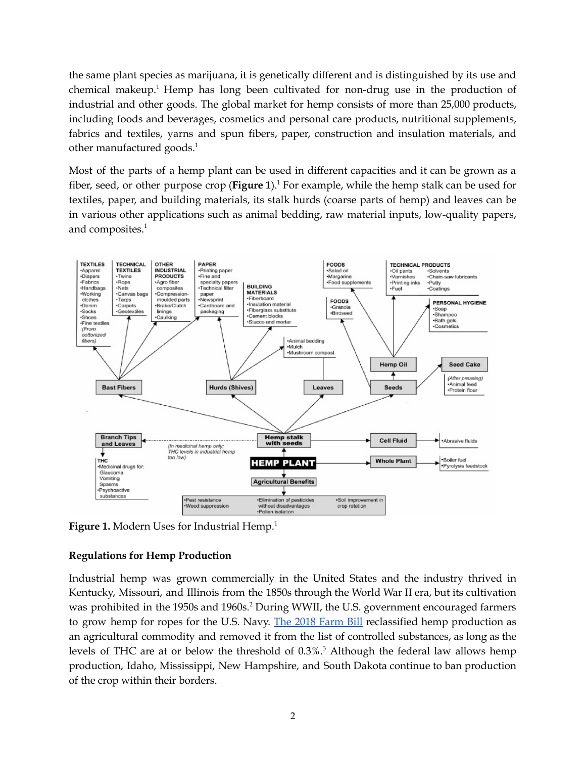the same plant species as marijuana, it is genetically different and is distinguished by its use and chemical makeup.<sup>1</sup> Hemp has long been cultivated for non-drug use in the production of industrial and other goods. The global market for hemp consists of more than 25,000 products, including foods and beverages, cosmetics and personal care products, nutritional supplements, fabrics and textiles, yarns and spun fibers, paper, construction and insulation materials, and other manufactured goods. 1

Most of the parts of a hemp plant can be used in different capacities and it can be grown as a fiber, seed, or other purpose crop (**Figure 1**). <sup>1</sup> For example, while the hemp stalk can be used for textiles, paper, and building materials, its stalk hurds (coarse parts of hemp) and leaves can be in various other applications such as animal bedding, raw material inputs, low-quality papers, and composites. 1



**Figure 1.** Modern Uses for Industrial Hemp. 1

## **Regulations for Hemp Production**

Industrial hemp was grown commercially in the United States and the industry thrived in Kentucky, Missouri, and Illinois from the 1850s through the World War II era, but its cultivation was prohibited in the 1950s and 1960s.<sup>2</sup> During WWII, the U.S. government encouraged farmers to grow hemp for ropes for the U.S. Navy. The 2018 [Farm](https://www.federalregister.gov/documents/2021/01/19/2021-00967/establishment-of-a-domestic-hemp-production-program) Bill reclassified hemp production as an agricultural commodity and removed it from the list of controlled substances, as long as the levels of THC are at or below the threshold of 0.3%. <sup>3</sup> Although the federal law allows hemp production, Idaho, Mississippi, New Hampshire, and South Dakota continue to ban production of the crop within their borders.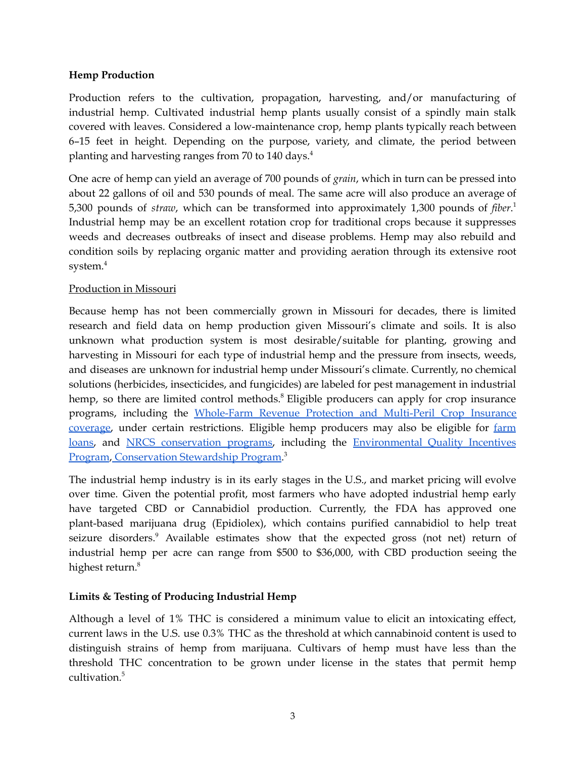#### **Hemp Production**

Production refers to the cultivation, propagation, harvesting, and/or manufacturing of industrial hemp. Cultivated industrial hemp plants usually consist of a spindly main stalk covered with leaves. Considered a low-maintenance crop, hemp plants typically reach between 6–15 feet in height. Depending on the purpose, variety, and climate, the period between planting and harvesting ranges from 70 to 140 days. 4

One acre of hemp can yield an average of 700 pounds of *grain*, which in turn can be pressed into about 22 gallons of oil and 530 pounds of meal. The same acre will also produce an average of 5,300 pounds of *straw*, which can be transformed into approximately 1,300 pounds of *fiber*. 1 Industrial hemp may be an excellent rotation crop for traditional crops because it suppresses weeds and decreases outbreaks of insect and disease problems. Hemp may also rebuild and condition soils by replacing organic matter and providing aeration through its extensive root system. 4

#### Production in Missouri

Because hemp has not been commercially grown in Missouri for decades, there is limited research and field data on hemp production given Missouri's climate and soils. It is also unknown what production system is most desirable/suitable for planting, growing and harvesting in Missouri for each type of industrial hemp and the pressure from insects, weeds, and diseases are unknown for industrial hemp under Missouri's climate. Currently, no chemical solutions (herbicides, insecticides, and fungicides) are labeled for pest management in industrial hemp, so there are limited control methods.<sup>8</sup> Eligible producers can apply for crop insurance programs, including the [Whole-Farm](https://www.rma.usda.gov/en/Policy-and-Procedure/Insurance-Plans/Whole-Farm-Revenue-Protection) Revenue Protection and Multi-Peril Crop Insurance [coverage,](https://www.rma.usda.gov/en/Policy-and-Procedure/Insurance-Plans/Whole-Farm-Revenue-Protection) under certain restrictions. Eligible hemp producers may also be eligible for [farm](https://www.fsa.usda.gov/programs-and-services/farm-loan-programs/index) [loans,](https://www.fsa.usda.gov/programs-and-services/farm-loan-programs/index) and NRCS [conservation](https://www.nrcs.usda.gov/wps/portal/nrcs/main/national/programs/) programs, including the [Environmental](https://www.nrcs.usda.gov/wps/portal/nrcs/main/national/programs/financial/eqip/) Quality Incentives [Program](https://www.nrcs.usda.gov/wps/portal/nrcs/main/national/programs/financial/eqip/), [Conservation](https://www.nrcs.usda.gov/wps/portal/nrcs/main/national/programs/financial/csp/) Stewardship Program.<sup>3</sup>

The industrial hemp industry is in its early stages in the U.S., and market pricing will evolve over time. Given the potential profit, most farmers who have adopted industrial hemp early have targeted CBD or Cannabidiol production. Currently, the FDA has approved one plant-based marijuana drug (Epidiolex), which contains purified cannabidiol to help treat seizure disorders.<sup>9</sup> Available estimates show that the expected gross (not net) return of industrial hemp per acre can range from \$500 to \$36,000, with CBD production seeing the highest return. 8

#### **Limits & Testing of Producing Industrial Hemp**

Although a level of 1% THC is considered a minimum value to elicit an intoxicating effect, current laws in the U.S. use 0.3% THC as the threshold at which cannabinoid content is used to distinguish strains of hemp from marijuana. Cultivars of hemp must have less than the threshold THC concentration to be grown under license in the states that permit hemp cultivation. 5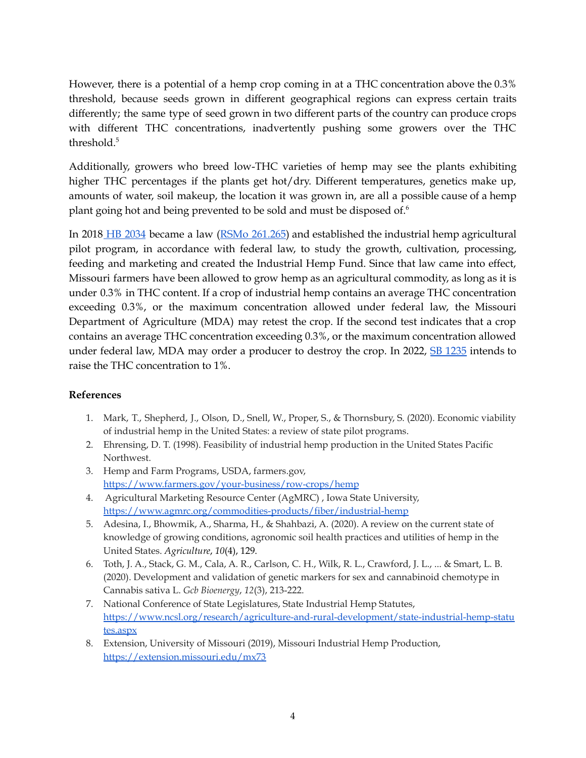However, there is a potential of a hemp crop coming in at a THC concentration above the 0.3% threshold, because seeds grown in different geographical regions can express certain traits differently; the same type of seed grown in two different parts of the country can produce crops with different THC concentrations, inadvertently pushing some growers over the THC threshold. 5

Additionally, growers who breed low-THC varieties of hemp may see the plants exhibiting higher THC percentages if the plants get hot/dry. Different temperatures, genetics make up, amounts of water, soil makeup, the location it was grown in, are all a possible cause of a hemp plant going hot and being prevented to be sold and must be disposed of. 6

In 2018 HB [2034](https://house.mo.gov/bill.aspx?bill=HB2034&year=2018&code=R) became a law (RSMo [261.265\)](https://revisor.mo.gov/main/OneSection.aspx?section=261.265) and established the industrial hemp agricultural pilot program, in accordance with federal law, to study the growth, cultivation, processing, feeding and marketing and created the Industrial Hemp Fund. Since that law came into effect, Missouri farmers have been allowed to grow hemp as an agricultural commodity, as long as it is under 0.3% in THC content. If a crop of industrial hemp contains an average THC concentration exceeding 0.3%, or the maximum concentration allowed under federal law, the Missouri Department of Agriculture (MDA) may retest the crop. If the second test indicates that a crop contains an average THC concentration exceeding 0.3%, or the maximum concentration allowed under federal law, MDA may order a producer to destroy the crop. In 2022, SB [1235](https://www.senate.mo.gov/22info/BTS_Web/Bill.aspx?SessionType=R&BillID=77303927) intends to raise the THC concentration to 1%.

#### **References**

- 1. Mark, T., Shepherd, J., Olson, D., Snell, W., Proper, S., & Thornsbury, S. (2020). Economic viability of industrial hemp in the United States: a review of state pilot programs.
- 2. Ehrensing, D. T. (1998). Feasibility of industrial hemp production in the United States Pacific Northwest.
- 3. Hemp and Farm Programs, USDA, farmers.gov, <https://www.farmers.gov/your-business/row-crops/hemp>
- 4. Agricultural Marketing Resource Center (AgMRC) , Iowa State University[,](https://www.agmrc.org/commodities-products/fiber/industrial-hemp) <https://www.agmrc.org/commodities-products/fiber/industrial-hemp>
- 5. Adesina, I., Bhowmik, A., Sharma, H., & Shahbazi, A. (2020). A review on the current state of knowledge of growing conditions, agronomic soil health practices and utilities of hemp in the United States. *Agriculture*, *10*(4), 129.
- 6. Toth, J. A., Stack, G. M., Cala, A. R., Carlson, C. H., Wilk, R. L., Crawford, J. L., ... & Smart, L. B. (2020). Development and validation of genetic markers for sex and cannabinoid chemotype in Cannabis sativa L. *Gcb Bioenergy*, *12*(3), 213-222.
- 7. National Conference of State Legislatures, State Industrial Hemp Statutes, [https://www.ncsl.org/research/agriculture-and-rural-development/state-industrial-hemp-statu](https://www.ncsl.org/research/agriculture-and-rural-development/state-industrial-hemp-statutes.aspx) [tes.aspx](https://www.ncsl.org/research/agriculture-and-rural-development/state-industrial-hemp-statutes.aspx)
- 8. Extension, University of Missouri (2019), Missouri Industrial Hemp Production, <https://extension.missouri.edu/mx73>